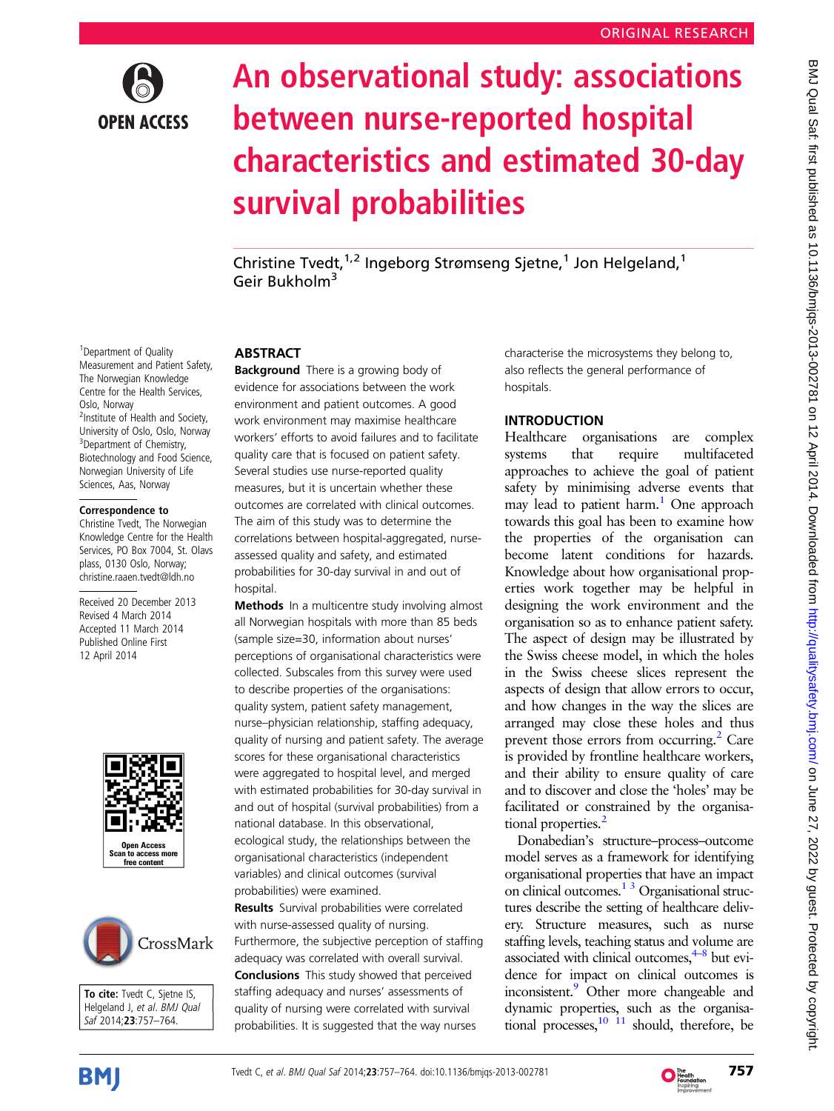

# An observational study: associations between nurse-reported hospital characteristics and estimated 30-day survival probabilities

Christine Tvedt,<sup>1,2</sup> Ingeborg Strømseng Sjetne,<sup>1</sup> Jon Helgeland,<sup>1</sup> Geir Bukholm<sup>3</sup>

<sup>1</sup> Department of Quality Measurement and Patient Safety, The Norwegian Knowledge Centre for the Health Services, Oslo, Norway <sup>2</sup>Institute of Health and Society, University of Oslo, Oslo, Norway <sup>3</sup>Department of Chemistry, Biotechnology and Food Science, Norwegian University of Life Sciences, Aas, Norway

#### Correspondence to

Christine Tvedt, The Norwegian Knowledge Centre for the Health Services, PO Box 7004, St. Olavs plass, 0130 Oslo, Norway; christine.raaen.tvedt@ldh.no

Received 20 December 2013 Revised 4 March 2014 Accepted 11 March 2014 Published Online First 12 April 2014





To cite: Tvedt C, Sjetne IS, Helgeland J, et al. BMJ Qual Saf 2014;23:757–764.

## **ABSTRACT**

**Background** There is a growing body of evidence for associations between the work environment and patient outcomes. A good work environment may maximise healthcare workers' efforts to avoid failures and to facilitate quality care that is focused on patient safety. Several studies use nurse-reported quality measures, but it is uncertain whether these outcomes are correlated with clinical outcomes. The aim of this study was to determine the correlations between hospital-aggregated, nurseassessed quality and safety, and estimated probabilities for 30-day survival in and out of hospital

Methods In a multicentre study involving almost all Norwegian hospitals with more than 85 beds (sample size=30, information about nurses' perceptions of organisational characteristics were collected. Subscales from this survey were used to describe properties of the organisations: quality system, patient safety management, nurse–physician relationship, staffing adequacy, quality of nursing and patient safety. The average scores for these organisational characteristics were aggregated to hospital level, and merged with estimated probabilities for 30-day survival in and out of hospital (survival probabilities) from a national database. In this observational, ecological study, the relationships between the organisational characteristics (independent variables) and clinical outcomes (survival probabilities) were examined.

Results Survival probabilities were correlated with nurse-assessed quality of nursing. Furthermore, the subjective perception of staffing adequacy was correlated with overall survival. Conclusions This study showed that perceived staffing adequacy and nurses' assessments of quality of nursing were correlated with survival probabilities. It is suggested that the way nurses

characterise the microsystems they belong to, also reflects the general performance of hospitals.

# **INTRODUCTION**

Healthcare organisations are complex systems that require multifaceted approaches to achieve the goal of patient safety by minimising adverse events that may lead to patient harm.<sup>1</sup> One approach towards this goal has been to examine how the properties of the organisation can become latent conditions for hazards. Knowledge about how organisational properties work together may be helpful in designing the work environment and the organisation so as to enhance patient safety. The aspect of design may be illustrated by the Swiss cheese model, in which the holes in the Swiss cheese slices represent the aspects of design that allow errors to occur, and how changes in the way the slices are arranged may close these holes and thus prevent those errors from occurring.<sup>[2](#page-6-0)</sup> Care is provided by frontline healthcare workers, and their ability to ensure quality of care and to discover and close the 'holes' may be facilitated or constrained by the organisa-tional properties.<sup>[2](#page-6-0)</sup>

Donabedian's structure–process–outcome model serves as a framework for identifying organisational properties that have an impact on clinical outcomes.<sup>1 3</sup> Organisational structures describe the setting of healthcare delivery. Structure measures, such as nurse staffing levels, teaching status and volume are associated with clinical outcomes, $4\frac{4-8}{8}$  $4\frac{4-8}{8}$  $4\frac{4-8}{8}$  but evidence for impact on clinical outcomes is inconsistent[.9](#page-6-0) Other more changeable and dynamic properties, such as the organisational processes,  $10^{-11}$  should, therefore, be



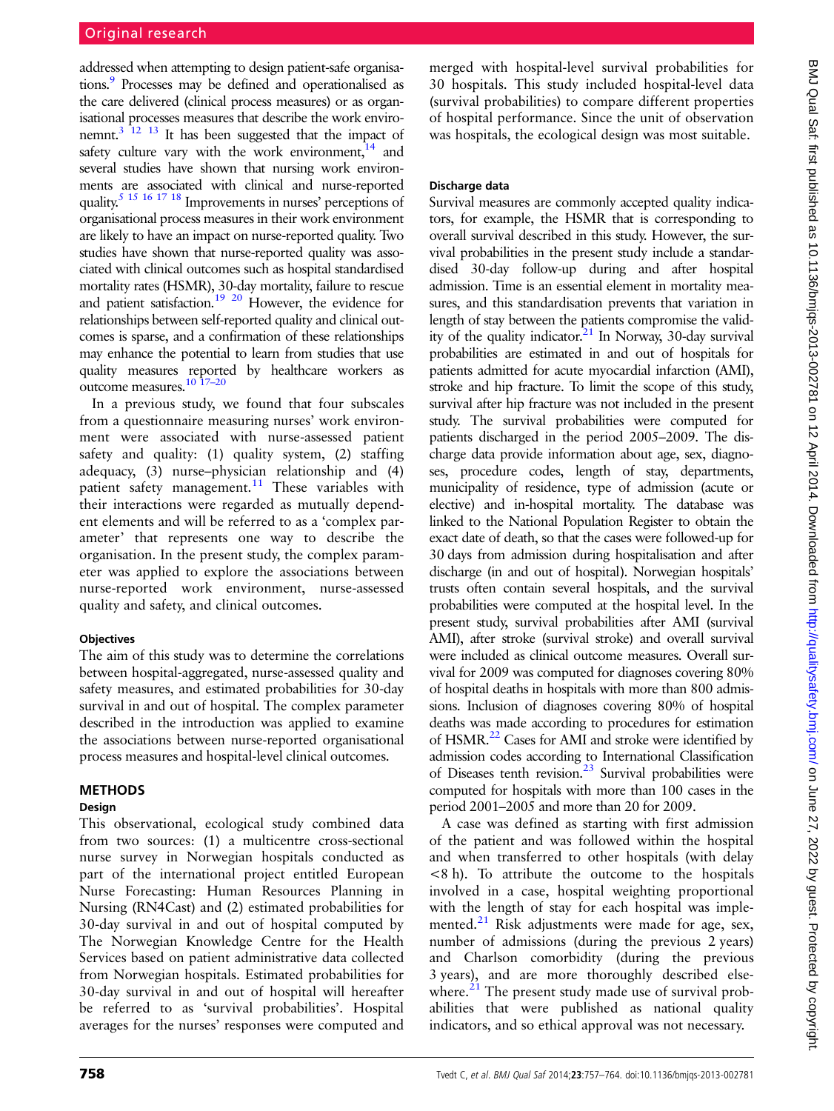addressed when attempting to design patient-safe organisations.<sup>9</sup> Processes may be defined and operationalised as the care delivered (clinical process measures) or as organisational processes measures that describe the work environemnt.<sup>3 12 13</sup> It has been suggested that the impact of safety culture vary with the work environment, $^{14}$  and several studies have shown that nursing work environments are associated with clinical and nurse-reported quality.<sup>[5 15 16 17 18](#page-6-0)</sup> Improvements in nurses' perceptions of organisational process measures in their work environment are likely to have an impact on nurse-reported quality. Two studies have shown that nurse-reported quality was associated with clinical outcomes such as hospital standardised mortality rates (HSMR), 30-day mortality, failure to rescue and patient satisfaction[.19 20](#page-6-0) However, the evidence for relationships between self-reported quality and clinical outcomes is sparse, and a confirmation of these relationships may enhance the potential to learn from studies that use quality measures reported by healthcare workers as outcome measures[.10 17](#page-6-0)–[20](#page-6-0)

In a previous study, we found that four subscales from a questionnaire measuring nurses' work environment were associated with nurse-assessed patient safety and quality: (1) quality system, (2) staffing adequacy, (3) nurse–physician relationship and (4) patient safety management.<sup>[11](#page-6-0)</sup> These variables with their interactions were regarded as mutually dependent elements and will be referred to as a 'complex parameter' that represents one way to describe the organisation. In the present study, the complex parameter was applied to explore the associations between nurse-reported work environment, nurse-assessed quality and safety, and clinical outcomes.

# **Objectives**

The aim of this study was to determine the correlations between hospital-aggregated, nurse-assessed quality and safety measures, and estimated probabilities for 30-day survival in and out of hospital. The complex parameter described in the introduction was applied to examine the associations between nurse-reported organisational process measures and hospital-level clinical outcomes.

# METHODS

# Design

This observational, ecological study combined data from two sources: (1) a multicentre cross-sectional nurse survey in Norwegian hospitals conducted as part of the international project entitled European Nurse Forecasting: Human Resources Planning in Nursing (RN4Cast) and (2) estimated probabilities for 30-day survival in and out of hospital computed by The Norwegian Knowledge Centre for the Health Services based on patient administrative data collected from Norwegian hospitals. Estimated probabilities for 30-day survival in and out of hospital will hereafter be referred to as 'survival probabilities'. Hospital averages for the nurses' responses were computed and

merged with hospital-level survival probabilities for 30 hospitals. This study included hospital-level data (survival probabilities) to compare different properties of hospital performance. Since the unit of observation was hospitals, the ecological design was most suitable.

# Discharge data

Survival measures are commonly accepted quality indicators, for example, the HSMR that is corresponding to overall survival described in this study. However, the survival probabilities in the present study include a standardised 30-day follow-up during and after hospital admission. Time is an essential element in mortality measures, and this standardisation prevents that variation in length of stay between the patients compromise the validity of the quality indicator. $21$  In Norway, 30-day survival probabilities are estimated in and out of hospitals for patients admitted for acute myocardial infarction (AMI), stroke and hip fracture. To limit the scope of this study, survival after hip fracture was not included in the present study. The survival probabilities were computed for patients discharged in the period 2005–2009. The discharge data provide information about age, sex, diagnoses, procedure codes, length of stay, departments, municipality of residence, type of admission (acute or elective) and in-hospital mortality. The database was linked to the National Population Register to obtain the exact date of death, so that the cases were followed-up for 30 days from admission during hospitalisation and after discharge (in and out of hospital). Norwegian hospitals' trusts often contain several hospitals, and the survival probabilities were computed at the hospital level. In the present study, survival probabilities after AMI (survival AMI), after stroke (survival stroke) and overall survival were included as clinical outcome measures. Overall survival for 2009 was computed for diagnoses covering 80% of hospital deaths in hospitals with more than 800 admissions. Inclusion of diagnoses covering 80% of hospital deaths was made according to procedures for estimation of HSMR.<sup>[22](#page-6-0)</sup> Cases for AMI and stroke were identified by admission codes according to International Classification of Diseases tenth revision.<sup>[23](#page-7-0)</sup> Survival probabilities were computed for hospitals with more than 100 cases in the period 2001–2005 and more than 20 for 2009.

A case was defined as starting with first admission of the patient and was followed within the hospital and when transferred to other hospitals (with delay <8 h). To attribute the outcome to the hospitals involved in a case, hospital weighting proportional with the length of stay for each hospital was implemented. $^{21}$  $^{21}$  $^{21}$  Risk adjustments were made for age, sex, number of admissions (during the previous 2 years) and Charlson comorbidity (during the previous 3 years), and are more thoroughly described elsewhere. $21$  The present study made use of survival probabilities that were published as national quality indicators, and so ethical approval was not necessary.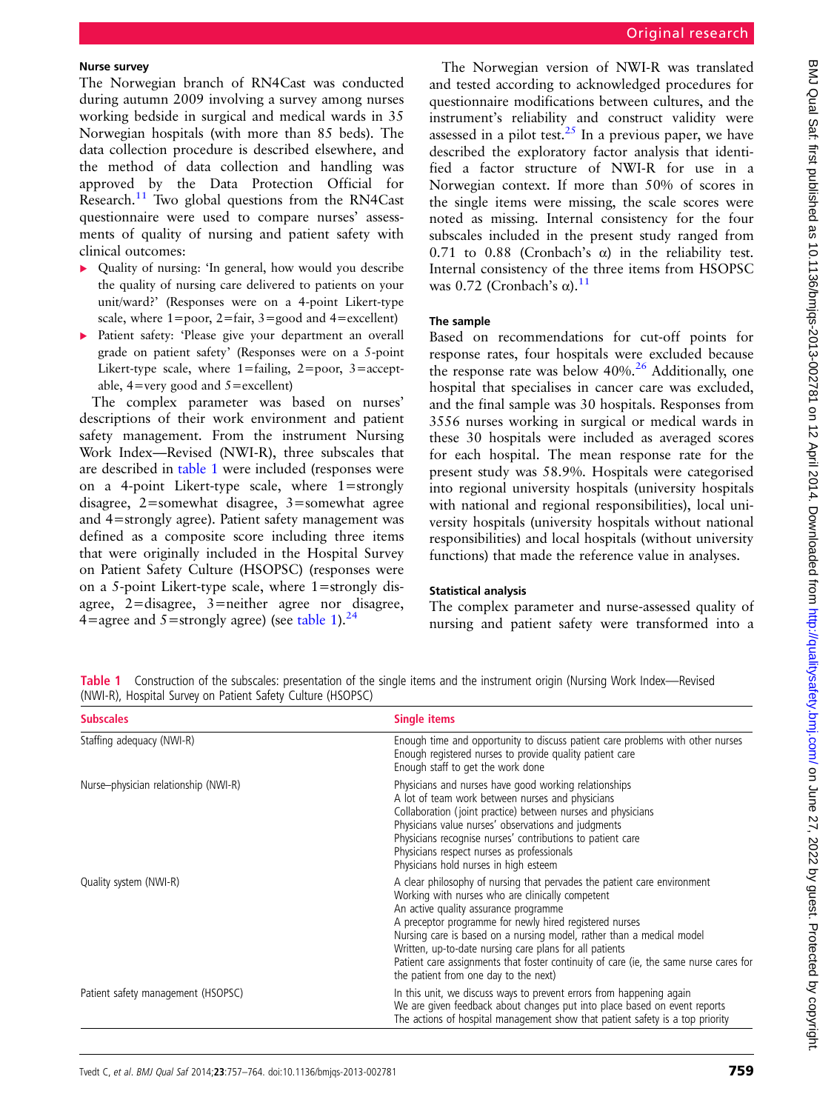#### Nurse survey

The Norwegian branch of RN4Cast was conducted during autumn 2009 involving a survey among nurses working bedside in surgical and medical wards in 35 Norwegian hospitals (with more than 85 beds). The data collection procedure is described elsewhere, and the method of data collection and handling was approved by the Data Protection Official for Research.<sup>[11](#page-6-0)</sup> Two global questions from the RN4Cast questionnaire were used to compare nurses' assessments of quality of nursing and patient safety with clinical outcomes:

- ▸ Quality of nursing: 'In general, how would you describe the quality of nursing care delivered to patients on your unit/ward?' (Responses were on a 4-point Likert-type scale, where  $1 = poor$ ,  $2 = fair$ ,  $3 = good$  and  $4 = excellent$ )
- ▸ Patient safety: 'Please give your department an overall grade on patient safety' (Responses were on a 5-point Likert-type scale, where 1=failing, 2=poor, 3=acceptable,  $4=$ very good and  $5=$ excellent)

The complex parameter was based on nurses' descriptions of their work environment and patient safety management. From the instrument Nursing Work Index—Revised (NWI-R), three subscales that are described in table 1 were included (responses were on a 4-point Likert-type scale, where 1=strongly disagree, 2=somewhat disagree, 3=somewhat agree and 4=strongly agree). Patient safety management was defined as a composite score including three items that were originally included in the Hospital Survey on Patient Safety Culture (HSOPSC) (responses were on a 5-point Likert-type scale, where 1=strongly disagree, 2=disagree, 3=neither agree nor disagree, 4=agree and 5=strongly agree) (see table 1).<sup>[24](#page-7-0)</sup>

The Norwegian version of NWI-R was translated and tested according to acknowledged procedures for questionnaire modifications between cultures, and the instrument's reliability and construct validity were assessed in a pilot test.<sup>[25](#page-7-0)</sup> In a previous paper, we have described the exploratory factor analysis that identified a factor structure of NWI-R for use in a Norwegian context. If more than 50% of scores in the single items were missing, the scale scores were noted as missing. Internal consistency for the four subscales included in the present study ranged from 0.71 to 0.88 (Cronbach's α) in the reliability test. Internal consistency of the three items from HSOPSC was 0.72 (Cronbach's  $\alpha$ ).<sup>[11](#page-6-0)</sup>

#### The sample

Based on recommendations for cut-off points for response rates, four hospitals were excluded because the response rate was below  $40\%$ .<sup>[26](#page-7-0)</sup> Additionally, one hospital that specialises in cancer care was excluded, and the final sample was 30 hospitals. Responses from 3556 nurses working in surgical or medical wards in these 30 hospitals were included as averaged scores for each hospital. The mean response rate for the present study was 58.9%. Hospitals were categorised into regional university hospitals (university hospitals with national and regional responsibilities), local university hospitals (university hospitals without national responsibilities) and local hospitals (without university functions) that made the reference value in analyses.

#### Statistical analysis

The complex parameter and nurse-assessed quality of nursing and patient safety were transformed into a

Table 1 Construction of the subscales: presentation of the single items and the instrument origin (Nursing Work Index—Revised (NWI-R), Hospital Survey on Patient Safety Culture (HSOPSC)

| <b>Subscales</b>                     | <b>Single items</b>                                                                                                                                                                                                                                                                                                                                                                                                                                                                                    |
|--------------------------------------|--------------------------------------------------------------------------------------------------------------------------------------------------------------------------------------------------------------------------------------------------------------------------------------------------------------------------------------------------------------------------------------------------------------------------------------------------------------------------------------------------------|
| Staffing adequacy (NWI-R)            | Enough time and opportunity to discuss patient care problems with other nurses<br>Enough registered nurses to provide quality patient care<br>Enough staff to get the work done                                                                                                                                                                                                                                                                                                                        |
| Nurse-physician relationship (NWI-R) | Physicians and nurses have good working relationships<br>A lot of team work between nurses and physicians<br>Collaboration (joint practice) between nurses and physicians<br>Physicians value nurses' observations and judgments<br>Physicians recognise nurses' contributions to patient care<br>Physicians respect nurses as professionals<br>Physicians hold nurses in high esteem                                                                                                                  |
| Quality system (NWI-R)               | A clear philosophy of nursing that pervades the patient care environment<br>Working with nurses who are clinically competent<br>An active quality assurance programme<br>A preceptor programme for newly hired registered nurses<br>Nursing care is based on a nursing model, rather than a medical model<br>Written, up-to-date nursing care plans for all patients<br>Patient care assignments that foster continuity of care (ie, the same nurse cares for<br>the patient from one day to the next) |
| Patient safety management (HSOPSC)   | In this unit, we discuss ways to prevent errors from happening again<br>We are given feedback about changes put into place based on event reports<br>The actions of hospital management show that patient safety is a top priority                                                                                                                                                                                                                                                                     |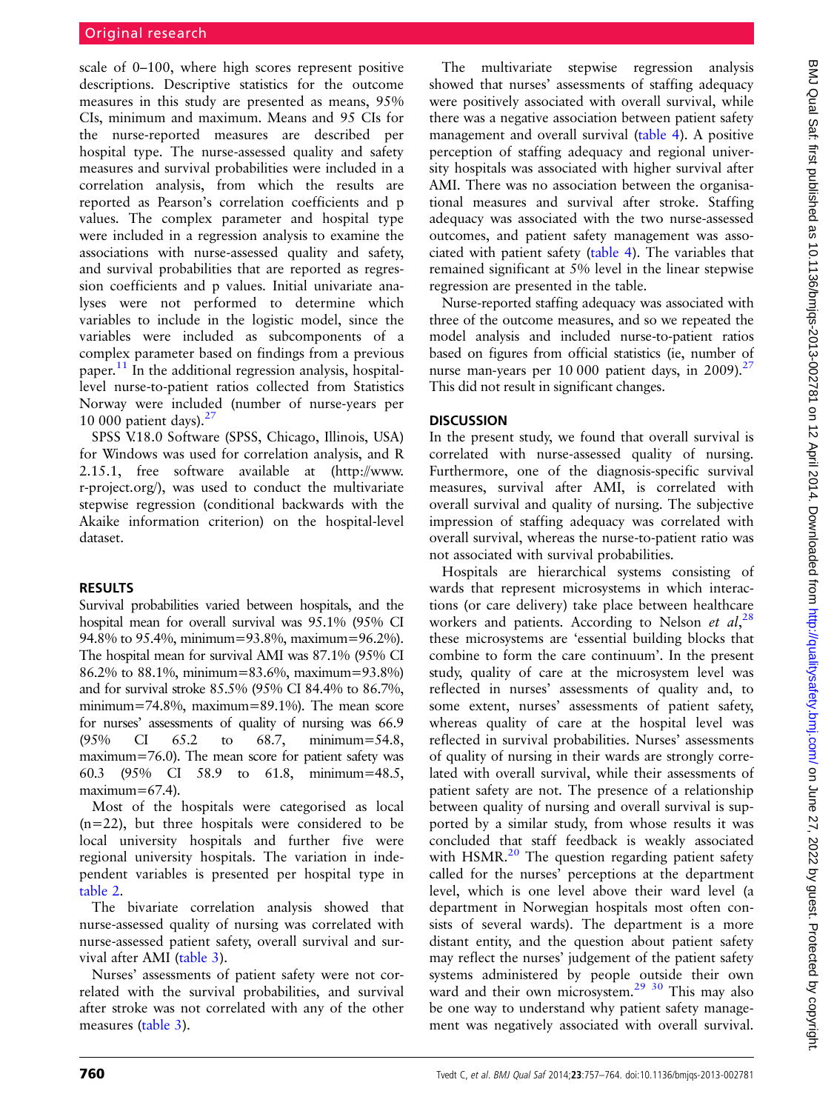scale of 0–100, where high scores represent positive descriptions. Descriptive statistics for the outcome measures in this study are presented as means, 95% CIs, minimum and maximum. Means and 95 CIs for the nurse-reported measures are described per hospital type. The nurse-assessed quality and safety measures and survival probabilities were included in a correlation analysis, from which the results are reported as Pearson's correlation coefficients and p values. The complex parameter and hospital type were included in a regression analysis to examine the associations with nurse-assessed quality and safety, and survival probabilities that are reported as regression coefficients and p values. Initial univariate analyses were not performed to determine which variables to include in the logistic model, since the variables were included as subcomponents of a complex parameter based on findings from a previous paper.<sup>[11](#page-6-0)</sup> In the additional regression analysis, hospitallevel nurse-to-patient ratios collected from Statistics Norway were included (number of nurse-years per 10 000 patient days). $27$ 

SPSS V.18.0 Software (SPSS, Chicago, Illinois, USA) for Windows was used for correlation analysis, and R 2.15.1, free software available at [\(http://www.](http://www.r-project.org/) [r-project.org/](http://www.r-project.org/)), was used to conduct the multivariate stepwise regression (conditional backwards with the Akaike information criterion) on the hospital-level dataset.

# RESULTS

Survival probabilities varied between hospitals, and the hospital mean for overall survival was 95.1% (95% CI 94.8% to 95.4%, minimum=93.8%, maximum=96.2%). The hospital mean for survival AMI was 87.1% (95% CI 86.2% to 88.1%, minimum=83.6%, maximum=93.8%) and for survival stroke 85.5% (95% CI 84.4% to 86.7%, minimum=74.8%, maximum=89.1%). The mean score for nurses' assessments of quality of nursing was 66.9 (95% CI 65.2 to 68.7, minimum=54.8, maximum=76.0). The mean score for patient safety was 60.3 (95% CI 58.9 to 61.8, minimum=48.5,  $maximum=67.4$ ).

Most of the hospitals were categorised as local (n=22), but three hospitals were considered to be local university hospitals and further five were regional university hospitals. The variation in independent variables is presented per hospital type in [table 2.](#page-4-0)

The bivariate correlation analysis showed that nurse-assessed quality of nursing was correlated with nurse-assessed patient safety, overall survival and survival after AMI ([table 3\)](#page-4-0).

Nurses' assessments of patient safety were not correlated with the survival probabilities, and survival after stroke was not correlated with any of the other measures [\(table 3](#page-4-0)).

The multivariate stepwise regression analysis showed that nurses' assessments of staffing adequacy were positively associated with overall survival, while there was a negative association between patient safety management and overall survival ([table 4\)](#page-5-0). A positive perception of staffing adequacy and regional university hospitals was associated with higher survival after AMI. There was no association between the organisational measures and survival after stroke. Staffing adequacy was associated with the two nurse-assessed outcomes, and patient safety management was associated with patient safety ([table 4\)](#page-5-0). The variables that remained significant at 5% level in the linear stepwise regression are presented in the table.

Nurse-reported staffing adequacy was associated with three of the outcome measures, and so we repeated the model analysis and included nurse-to-patient ratios based on figures from official statistics (ie, number of nurse man-years per 10 000 patient days, in 2009). $^{27}$ This did not result in significant changes.

# **DISCUSSION**

In the present study, we found that overall survival is correlated with nurse-assessed quality of nursing. Furthermore, one of the diagnosis-specific survival measures, survival after AMI, is correlated with overall survival and quality of nursing. The subjective impression of staffing adequacy was correlated with overall survival, whereas the nurse-to-patient ratio was not associated with survival probabilities.

Hospitals are hierarchical systems consisting of wards that represent microsystems in which interactions (or care delivery) take place between healthcare workers and patients. According to Nelson et  $al$ ,  $^{28}$  $^{28}$  $^{28}$ these microsystems are 'essential building blocks that combine to form the care continuum'. In the present study, quality of care at the microsystem level was reflected in nurses' assessments of quality and, to some extent, nurses' assessments of patient safety, whereas quality of care at the hospital level was reflected in survival probabilities. Nurses' assessments of quality of nursing in their wards are strongly correlated with overall survival, while their assessments of patient safety are not. The presence of a relationship between quality of nursing and overall survival is supported by a similar study, from whose results it was concluded that staff feedback is weakly associated with HSMR. $^{20}$  $^{20}$  $^{20}$  The question regarding patient safety called for the nurses' perceptions at the department level, which is one level above their ward level (a department in Norwegian hospitals most often consists of several wards). The department is a more distant entity, and the question about patient safety may reflect the nurses' judgement of the patient safety systems administered by people outside their own ward and their own microsystem.<sup>29</sup> <sup>30</sup> This may also be one way to understand why patient safety management was negatively associated with overall survival.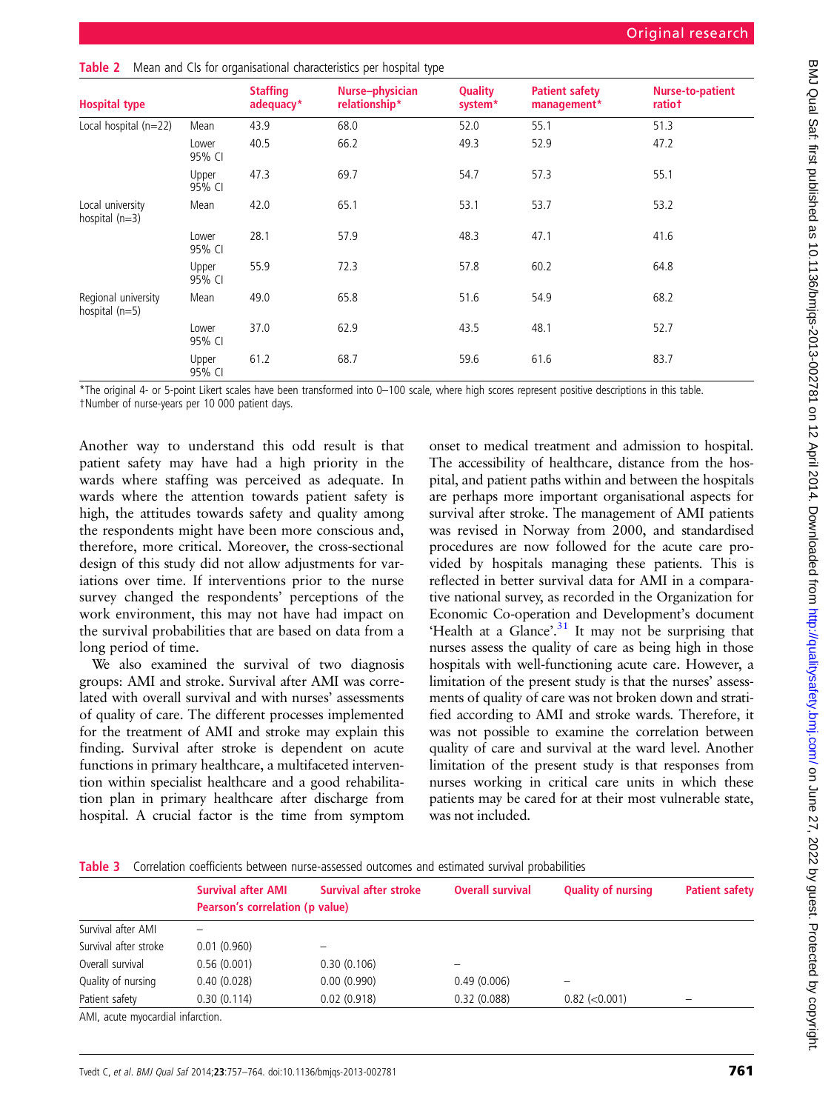| <b>Hospital type</b>                    |                 | <b>Staffing</b><br>adequacy* | Nurse-physician<br>relationship* | Quality<br>system* | <b>Patient safety</b><br>management* | <b>Nurse-to-patient</b><br>ratiot |
|-----------------------------------------|-----------------|------------------------------|----------------------------------|--------------------|--------------------------------------|-----------------------------------|
| Local hospital (n=22)                   | Mean            | 43.9                         | 68.0                             | 52.0               | 55.1                                 | 51.3                              |
|                                         | Lower<br>95% CI | 40.5                         | 66.2                             | 49.3               | 52.9                                 | 47.2                              |
|                                         | Upper<br>95% CI | 47.3                         | 69.7                             | 54.7               | 57.3                                 | 55.1                              |
| Local university<br>hospital $(n=3)$    | Mean            | 42.0                         | 65.1                             | 53.1               | 53.7                                 | 53.2                              |
|                                         | Lower<br>95% CI | 28.1                         | 57.9                             | 48.3               | 47.1                                 | 41.6                              |
|                                         | Upper<br>95% CI | 55.9                         | 72.3                             | 57.8               | 60.2                                 | 64.8                              |
| Regional university<br>hospital $(n=5)$ | Mean            | 49.0                         | 65.8                             | 51.6               | 54.9                                 | 68.2                              |
|                                         | Lower<br>95% CI | 37.0                         | 62.9                             | 43.5               | 48.1                                 | 52.7                              |
|                                         | Upper<br>95% CI | 61.2                         | 68.7                             | 59.6               | 61.6                                 | 83.7                              |

<span id="page-4-0"></span>

| Table 2 Mean and CIs for organisational characteristics per hospital type |  |
|---------------------------------------------------------------------------|--|
|---------------------------------------------------------------------------|--|

\*The original 4- or 5-point Likert scales have been transformed into 0–100 scale, where high scores represent positive descriptions in this table.

†Number of nurse-years per 10 000 patient days.

Another way to understand this odd result is that patient safety may have had a high priority in the wards where staffing was perceived as adequate. In wards where the attention towards patient safety is high, the attitudes towards safety and quality among the respondents might have been more conscious and, therefore, more critical. Moreover, the cross-sectional design of this study did not allow adjustments for variations over time. If interventions prior to the nurse survey changed the respondents' perceptions of the work environment, this may not have had impact on the survival probabilities that are based on data from a long period of time.

We also examined the survival of two diagnosis groups: AMI and stroke. Survival after AMI was correlated with overall survival and with nurses' assessments of quality of care. The different processes implemented for the treatment of AMI and stroke may explain this finding. Survival after stroke is dependent on acute functions in primary healthcare, a multifaceted intervention within specialist healthcare and a good rehabilitation plan in primary healthcare after discharge from hospital. A crucial factor is the time from symptom

onset to medical treatment and admission to hospital. The accessibility of healthcare, distance from the hospital, and patient paths within and between the hospitals are perhaps more important organisational aspects for survival after stroke. The management of AMI patients was revised in Norway from 2000, and standardised procedures are now followed for the acute care provided by hospitals managing these patients. This is reflected in better survival data for AMI in a comparative national survey, as recorded in the Organization for Economic Co-operation and Development's document 'Health at a Glance'.<sup>[31](#page-7-0)</sup> It may not be surprising that nurses assess the quality of care as being high in those hospitals with well-functioning acute care. However, a limitation of the present study is that the nurses' assessments of quality of care was not broken down and stratified according to AMI and stroke wards. Therefore, it was not possible to examine the correlation between quality of care and survival at the ward level. Another limitation of the present study is that responses from nurses working in critical care units in which these patients may be cared for at their most vulnerable state, was not included.

|  |  | Table 3 Correlation coefficients between nurse-assessed outcomes and estimated survival probabilities |  |  |  |
|--|--|-------------------------------------------------------------------------------------------------------|--|--|--|
|  |  |                                                                                                       |  |  |  |

|                                 | <b>Survival after AMI</b><br>Pearson's correlation (p value) | Survival after stroke | <b>Overall survival</b> | <b>Quality of nursing</b> | <b>Patient safety</b> |  |  |
|---------------------------------|--------------------------------------------------------------|-----------------------|-------------------------|---------------------------|-----------------------|--|--|
| Survival after AMI              |                                                              |                       |                         |                           |                       |  |  |
| Survival after stroke           | 0.01(0.960)                                                  |                       |                         |                           |                       |  |  |
| Overall survival                | 0.56(0.001)                                                  | 0.30(0.106)           |                         |                           |                       |  |  |
| Quality of nursing              | 0.40(0.028)                                                  | 0.00(0.990)           | 0.49(0.006)             |                           |                       |  |  |
| Patient safety                  | 0.30(0.114)                                                  | 0.02(0.918)           | 0.32(0.088)             | $0.82$ ( $< 0.001$ )      | -                     |  |  |
| AMI acute muncardial infarction |                                                              |                       |                         |                           |                       |  |  |

AMI, acute myocardial infarction.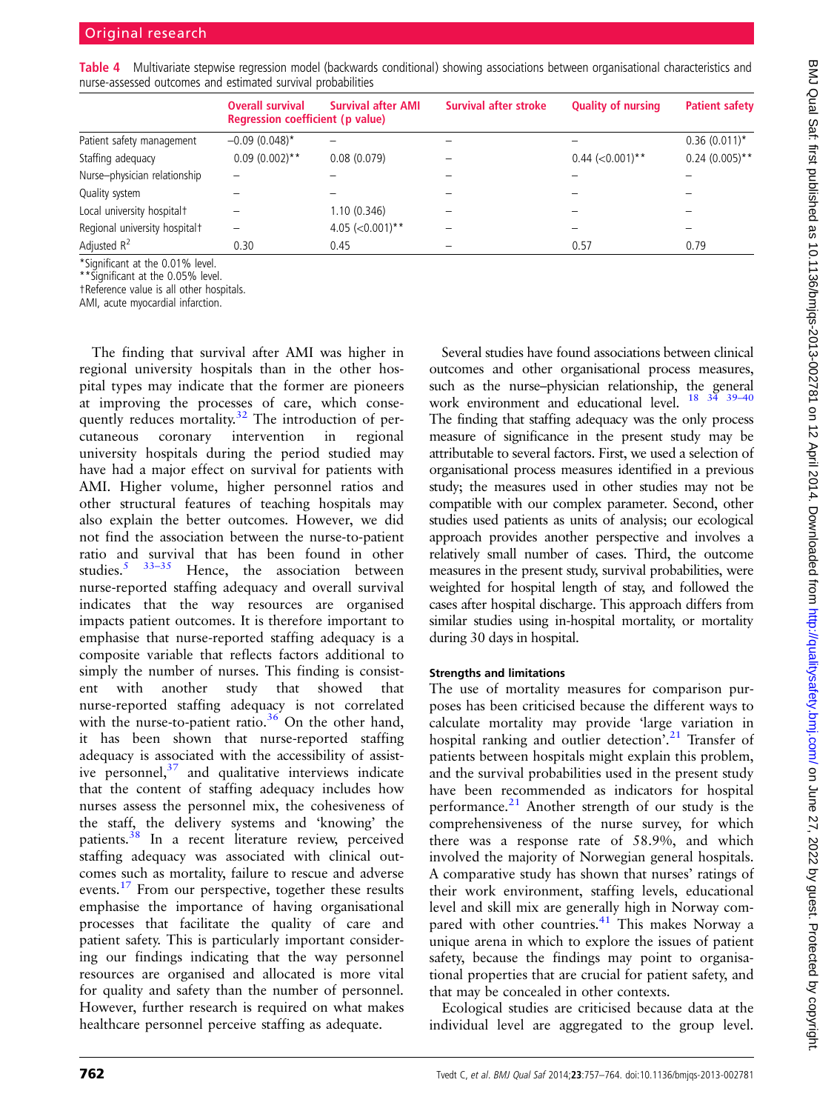|                               | <b>Overall survival</b><br>Regression coefficient (p value) | <b>Survival after AMI</b> | <b>Survival after stroke</b> | <b>Quality of nursing</b> | <b>Patient safety</b> |
|-------------------------------|-------------------------------------------------------------|---------------------------|------------------------------|---------------------------|-----------------------|
| Patient safety management     | $-0.09(0.048)$ *                                            |                           |                              |                           | $0.36(0.011)^*$       |
| Staffing adequacy             | $0.09(0.002)$ **                                            | 0.08(0.079)               |                              | $0.44$ (<0.001)**         | $0.24(0.005)$ **      |
| Nurse-physician relationship  |                                                             |                           |                              |                           |                       |
| Quality system                |                                                             |                           |                              |                           |                       |
| Local university hospitalt    |                                                             | 1.10(0.346)               |                              |                           |                       |
| Regional university hospitalt |                                                             | 4.05 $(<0.001)$ **        |                              |                           |                       |
| Adjusted $R^2$                | 0.30                                                        | 0.45                      |                              | 0.57                      | 0.79                  |

<span id="page-5-0"></span>Table 4 Multivariate stepwise regression model (backwards conditional) showing associations between organisational characteristics and nurse-assessed outcomes and estimated survival probabilities

\*Significant at the 0.01% level.

\*\*Significant at the 0.05% level.

†Reference value is all other hospitals.

AMI, acute myocardial infarction.

The finding that survival after AMI was higher in regional university hospitals than in the other hospital types may indicate that the former are pioneers at improving the processes of care, which conse-quently reduces mortality.<sup>[32](#page-7-0)</sup> The introduction of percutaneous coronary intervention in regional university hospitals during the period studied may have had a major effect on survival for patients with AMI. Higher volume, higher personnel ratios and other structural features of teaching hospitals may also explain the better outcomes. However, we did not find the association between the nurse-to-patient ratio and survival that has been found in other studies.<sup>[5](#page-6-0)</sup>  $33-35$  $33-35$  Hence, the association between nurse-reported staffing adequacy and overall survival indicates that the way resources are organised impacts patient outcomes. It is therefore important to emphasise that nurse-reported staffing adequacy is a composite variable that reflects factors additional to simply the number of nurses. This finding is consistent with another study that showed that nurse-reported staffing adequacy is not correlated with the nurse-to-patient ratio. $36$  On the other hand, it has been shown that nurse-reported staffing adequacy is associated with the accessibility of assistive personnel, $37$  and qualitative interviews indicate that the content of staffing adequacy includes how nurses assess the personnel mix, the cohesiveness of the staff, the delivery systems and 'knowing' the patients.[38](#page-7-0) In a recent literature review, perceived staffing adequacy was associated with clinical outcomes such as mortality, failure to rescue and adverse events.[17](#page-6-0) From our perspective, together these results emphasise the importance of having organisational processes that facilitate the quality of care and patient safety. This is particularly important considering our findings indicating that the way personnel resources are organised and allocated is more vital for quality and safety than the number of personnel. However, further research is required on what makes healthcare personnel perceive staffing as adequate.

Several studies have found associations between clinical outcomes and other organisational process measures, such as the nurse–physician relationship, the general work environment and educational level. <sup>[18](#page-6-0) 34</sup> <sup>39-[40](#page-7-0)</sup> The finding that staffing adequacy was the only process measure of significance in the present study may be attributable to several factors. First, we used a selection of organisational process measures identified in a previous study; the measures used in other studies may not be compatible with our complex parameter. Second, other studies used patients as units of analysis; our ecological approach provides another perspective and involves a relatively small number of cases. Third, the outcome measures in the present study, survival probabilities, were weighted for hospital length of stay, and followed the cases after hospital discharge. This approach differs from similar studies using in-hospital mortality, or mortality during 30 days in hospital.

## Strengths and limitations

The use of mortality measures for comparison purposes has been criticised because the different ways to calculate mortality may provide 'large variation in hospital ranking and outlier detection'.<sup>[21](#page-6-0)</sup> Transfer of patients between hospitals might explain this problem, and the survival probabilities used in the present study have been recommended as indicators for hospital performance. $21$  Another strength of our study is the comprehensiveness of the nurse survey, for which there was a response rate of 58.9%, and which involved the majority of Norwegian general hospitals. A comparative study has shown that nurses' ratings of their work environment, staffing levels, educational level and skill mix are generally high in Norway com-pared with other countries.<sup>[41](#page-7-0)</sup> This makes Norway a unique arena in which to explore the issues of patient safety, because the findings may point to organisational properties that are crucial for patient safety, and that may be concealed in other contexts.

Ecological studies are criticised because data at the individual level are aggregated to the group level.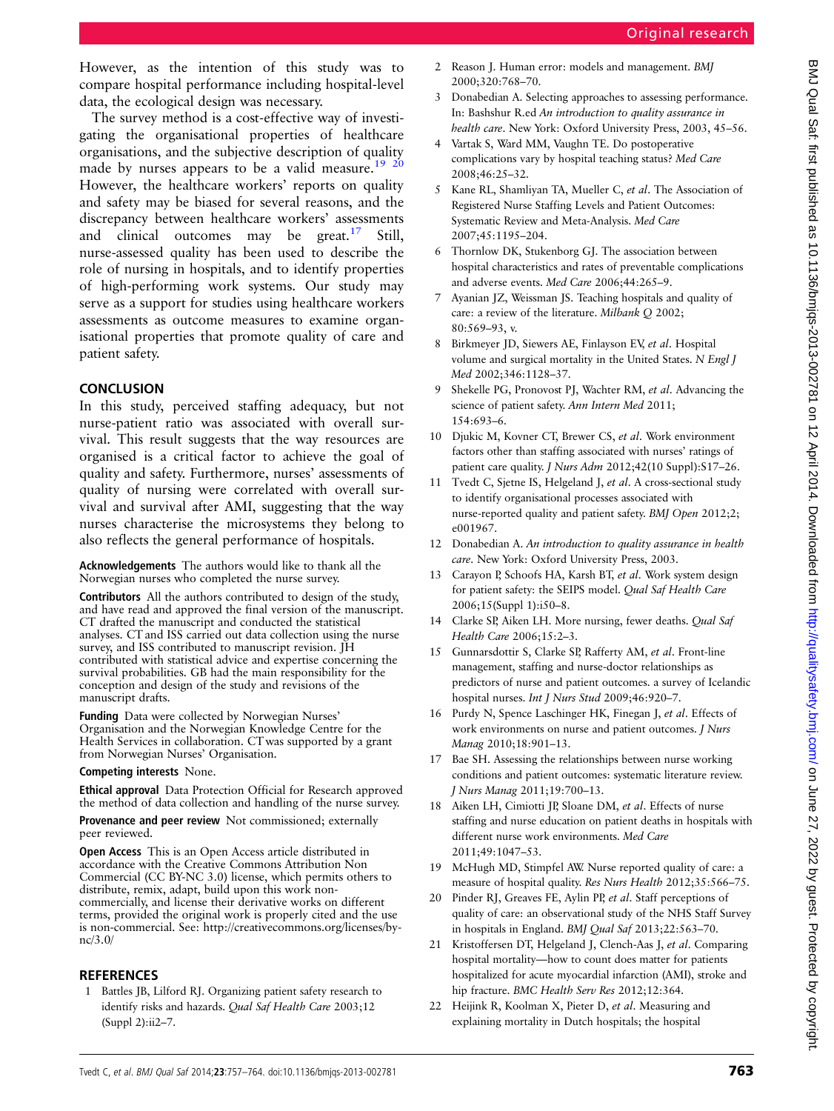<span id="page-6-0"></span>However, as the intention of this study was to compare hospital performance including hospital-level data, the ecological design was necessary.

The survey method is a cost-effective way of investigating the organisational properties of healthcare organisations, and the subjective description of quality made by nurses appears to be a valid measure.<sup>19</sup> <sup>20</sup> However, the healthcare workers' reports on quality and safety may be biased for several reasons, and the discrepancy between healthcare workers' assessments and clinical outcomes may be  $\text{great.}^{17}$  Still, nurse-assessed quality has been used to describe the role of nursing in hospitals, and to identify properties of high-performing work systems. Our study may serve as a support for studies using healthcare workers assessments as outcome measures to examine organisational properties that promote quality of care and patient safety.

# **CONCLUSION**

In this study, perceived staffing adequacy, but not nurse-patient ratio was associated with overall survival. This result suggests that the way resources are organised is a critical factor to achieve the goal of quality and safety. Furthermore, nurses' assessments of quality of nursing were correlated with overall survival and survival after AMI, suggesting that the way nurses characterise the microsystems they belong to also reflects the general performance of hospitals.

Acknowledgements The authors would like to thank all the Norwegian nurses who completed the nurse survey.

Contributors All the authors contributed to design of the study, and have read and approved the final version of the manuscript. CT drafted the manuscript and conducted the statistical analyses. CT and ISS carried out data collection using the nurse survey, and ISS contributed to manuscript revision. JH contributed with statistical advice and expertise concerning the survival probabilities. GB had the main responsibility for the conception and design of the study and revisions of the manuscript drafts.

Funding Data were collected by Norwegian Nurses' Organisation and the Norwegian Knowledge Centre for the Health Services in collaboration. CT was supported by a grant from Norwegian Nurses' Organisation.

#### Competing interests None.

Ethical approval Data Protection Official for Research approved the method of data collection and handling of the nurse survey.

Provenance and peer review Not commissioned; externally peer reviewed.

Open Access This is an Open Access article distributed in accordance with the Creative Commons Attribution Non Commercial (CC BY-NC 3.0) license, which permits others to distribute, remix, adapt, build upon this work noncommercially, and license their derivative works on different terms, provided the original work is properly cited and the use is non-commercial. See: [http://creativecommons.org/licenses/by](http://creativecommons.org/licenses/by-nc/3.0/)[nc/3.0/](http://creativecommons.org/licenses/by-nc/3.0/)

# **REFERENCES**

1 Battles JB, Lilford RJ. Organizing patient safety research to identify risks and hazards. Qual Saf Health Care 2003;12 (Suppl 2):ii2–7.

- 2 Reason J. Human error: models and management. BMJ 2000;320:768–70.
- 3 Donabedian A. Selecting approaches to assessing performance. In: Bashshur R.ed An introduction to quality assurance in health care. New York: Oxford University Press, 2003, 45–56.
- 4 Vartak S, Ward MM, Vaughn TE. Do postoperative complications vary by hospital teaching status? Med Care 2008;46:25–32.
- 5 Kane RL, Shamliyan TA, Mueller C, et al. The Association of Registered Nurse Staffing Levels and Patient Outcomes: Systematic Review and Meta-Analysis. Med Care 2007;45:1195–204.
- 6 Thornlow DK, Stukenborg GJ. The association between hospital characteristics and rates of preventable complications and adverse events. Med Care 2006;44:265–9.
- 7 Ayanian JZ, Weissman JS. Teaching hospitals and quality of care: a review of the literature. Milbank Q 2002; 80:569–93, v.
- 8 Birkmeyer JD, Siewers AE, Finlayson EV, et al. Hospital volume and surgical mortality in the United States. N Engl J Med 2002;346:1128–37.
- 9 Shekelle PG, Pronovost PJ, Wachter RM, et al. Advancing the science of patient safety. Ann Intern Med 2011; 154:693–6.
- 10 Djukic M, Kovner CT, Brewer CS, et al. Work environment factors other than staffing associated with nurses' ratings of patient care quality. *J Nurs Adm* 2012;42(10 Suppl):S17-26.
- 11 Tvedt C, Sjetne IS, Helgeland J, et al. A cross-sectional study to identify organisational processes associated with nurse-reported quality and patient safety. BMJ Open 2012;2; e001967.
- 12 Donabedian A. An introduction to quality assurance in health care. New York: Oxford University Press, 2003.
- 13 Carayon P, Schoofs HA, Karsh BT, et al. Work system design for patient safety: the SEIPS model. Qual Saf Health Care 2006;15(Suppl 1):i50–8.
- 14 Clarke SP, Aiken LH. More nursing, fewer deaths. Qual Saf Health Care 2006;15:2–3.
- 15 Gunnarsdottir S, Clarke SP, Rafferty AM, et al. Front-line management, staffing and nurse-doctor relationships as predictors of nurse and patient outcomes. a survey of Icelandic hospital nurses. Int J Nurs Stud 2009;46:920-7.
- 16 Purdy N, Spence Laschinger HK, Finegan J, et al. Effects of work environments on nurse and patient outcomes. J Nurs Manag 2010;18:901–13.
- 17 Bae SH. Assessing the relationships between nurse working conditions and patient outcomes: systematic literature review. J Nurs Manag 2011;19:700–13.
- 18 Aiken LH, Cimiotti JP, Sloane DM, et al. Effects of nurse staffing and nurse education on patient deaths in hospitals with different nurse work environments. Med Care 2011;49:1047–53.
- 19 McHugh MD, Stimpfel AW. Nurse reported quality of care: a measure of hospital quality. Res Nurs Health 2012;35:566–75.
- 20 Pinder RJ, Greaves FE, Aylin PP, et al. Staff perceptions of quality of care: an observational study of the NHS Staff Survey in hospitals in England. BMJ Qual Saf 2013;22:563–70.
- 21 Kristoffersen DT, Helgeland J, Clench-Aas J, et al. Comparing hospital mortality—how to count does matter for patients hospitalized for acute myocardial infarction (AMI), stroke and hip fracture. BMC Health Serv Res 2012;12:364.
- 22 Heijink R, Koolman X, Pieter D, et al. Measuring and explaining mortality in Dutch hospitals; the hospital